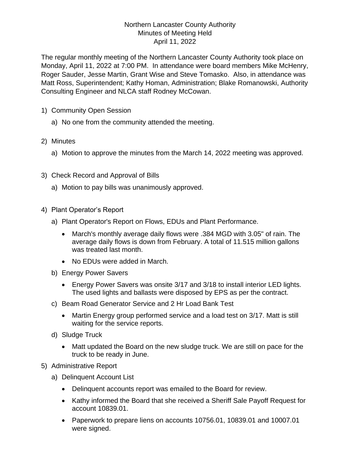## Northern Lancaster County Authority Minutes of Meeting Held April 11, 2022

The regular monthly meeting of the Northern Lancaster County Authority took place on Monday, April 11, 2022 at 7:00 PM. In attendance were board members Mike McHenry, Roger Sauder, Jesse Martin, Grant Wise and Steve Tomasko. Also, in attendance was Matt Ross, Superintendent; Kathy Homan, Administration; Blake Romanowski, Authority Consulting Engineer and NLCA staff Rodney McCowan.

- 1) Community Open Session
	- a) No one from the community attended the meeting.
- 2) Minutes
	- a) Motion to approve the minutes from the March 14, 2022 meeting was approved.
- 3) Check Record and Approval of Bills
	- a) Motion to pay bills was unanimously approved.
- 4) Plant Operator's Report
	- a) Plant Operator's Report on Flows, EDUs and Plant Performance.
		- March's monthly average daily flows were .384 MGD with 3.05" of rain. The average daily flows is down from February. A total of 11.515 million gallons was treated last month.
		- No EDUs were added in March.
	- b) Energy Power Savers
		- Energy Power Savers was onsite 3/17 and 3/18 to install interior LED lights. The used lights and ballasts were disposed by EPS as per the contract.
	- c) Beam Road Generator Service and 2 Hr Load Bank Test
		- Martin Energy group performed service and a load test on 3/17. Matt is still waiting for the service reports.
	- d) Sludge Truck
		- Matt updated the Board on the new sludge truck. We are still on pace for the truck to be ready in June.
- 5) Administrative Report
	- a) Delinquent Account List
		- Delinquent accounts report was emailed to the Board for review.
		- Kathy informed the Board that she received a Sheriff Sale Payoff Request for account 10839.01.
		- Paperwork to prepare liens on accounts 10756.01, 10839.01 and 10007.01 were signed.